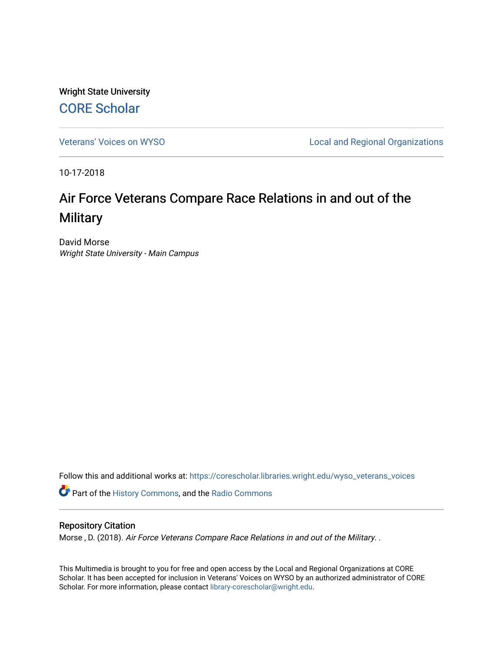Wright State University [CORE Scholar](https://corescholar.libraries.wright.edu/)

[Veterans' Voices on WYSO](https://corescholar.libraries.wright.edu/wyso_veterans_voices) **Local and Regional Organizations** 

10-17-2018

# Air Force Veterans Compare Race Relations in and out of the **Military**

David Morse Wright State University - Main Campus

Follow this and additional works at: [https://corescholar.libraries.wright.edu/wyso\\_veterans\\_voices](https://corescholar.libraries.wright.edu/wyso_veterans_voices?utm_source=corescholar.libraries.wright.edu%2Fwyso_veterans_voices%2F30&utm_medium=PDF&utm_campaign=PDFCoverPages)

Part of the [History Commons,](http://network.bepress.com/hgg/discipline/489?utm_source=corescholar.libraries.wright.edu%2Fwyso_veterans_voices%2F30&utm_medium=PDF&utm_campaign=PDFCoverPages) and the [Radio Commons](http://network.bepress.com/hgg/discipline/1144?utm_source=corescholar.libraries.wright.edu%2Fwyso_veterans_voices%2F30&utm_medium=PDF&utm_campaign=PDFCoverPages) 

## Repository Citation

Morse , D. (2018). Air Force Veterans Compare Race Relations in and out of the Military. .

This Multimedia is brought to you for free and open access by the Local and Regional Organizations at CORE Scholar. It has been accepted for inclusion in Veterans' Voices on WYSO by an authorized administrator of CORE Scholar. For more information, please contact [library-corescholar@wright.edu](mailto:library-corescholar@wright.edu).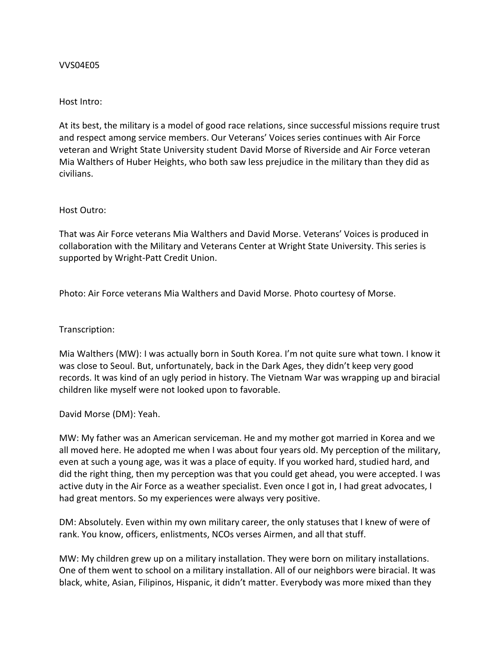### VVS04E05

#### Host Intro:

At its best, the military is a model of good race relations, since successful missions require trust and respect among service members. Our Veterans' Voices series continues with Air Force veteran and Wright State University student David Morse of Riverside and Air Force veteran Mia Walthers of Huber Heights, who both saw less prejudice in the military than they did as civilians.

#### Host Outro:

That was Air Force veterans Mia Walthers and David Morse. Veterans' Voices is produced in collaboration with the Military and Veterans Center at Wright State University. This series is supported by Wright-Patt Credit Union.

Photo: Air Force veterans Mia Walthers and David Morse. Photo courtesy of Morse.

## Transcription:

Mia Walthers (MW): I was actually born in South Korea. I'm not quite sure what town. I know it was close to Seoul. But, unfortunately, back in the Dark Ages, they didn't keep very good records. It was kind of an ugly period in history. The Vietnam War was wrapping up and biracial children like myself were not looked upon to favorable.

## David Morse (DM): Yeah.

MW: My father was an American serviceman. He and my mother got married in Korea and we all moved here. He adopted me when I was about four years old. My perception of the military, even at such a young age, was it was a place of equity. If you worked hard, studied hard, and did the right thing, then my perception was that you could get ahead, you were accepted. I was active duty in the Air Force as a weather specialist. Even once I got in, I had great advocates, I had great mentors. So my experiences were always very positive.

DM: Absolutely. Even within my own military career, the only statuses that I knew of were of rank. You know, officers, enlistments, NCOs verses Airmen, and all that stuff.

MW: My children grew up on a military installation. They were born on military installations. One of them went to school on a military installation. All of our neighbors were biracial. It was black, white, Asian, Filipinos, Hispanic, it didn't matter. Everybody was more mixed than they